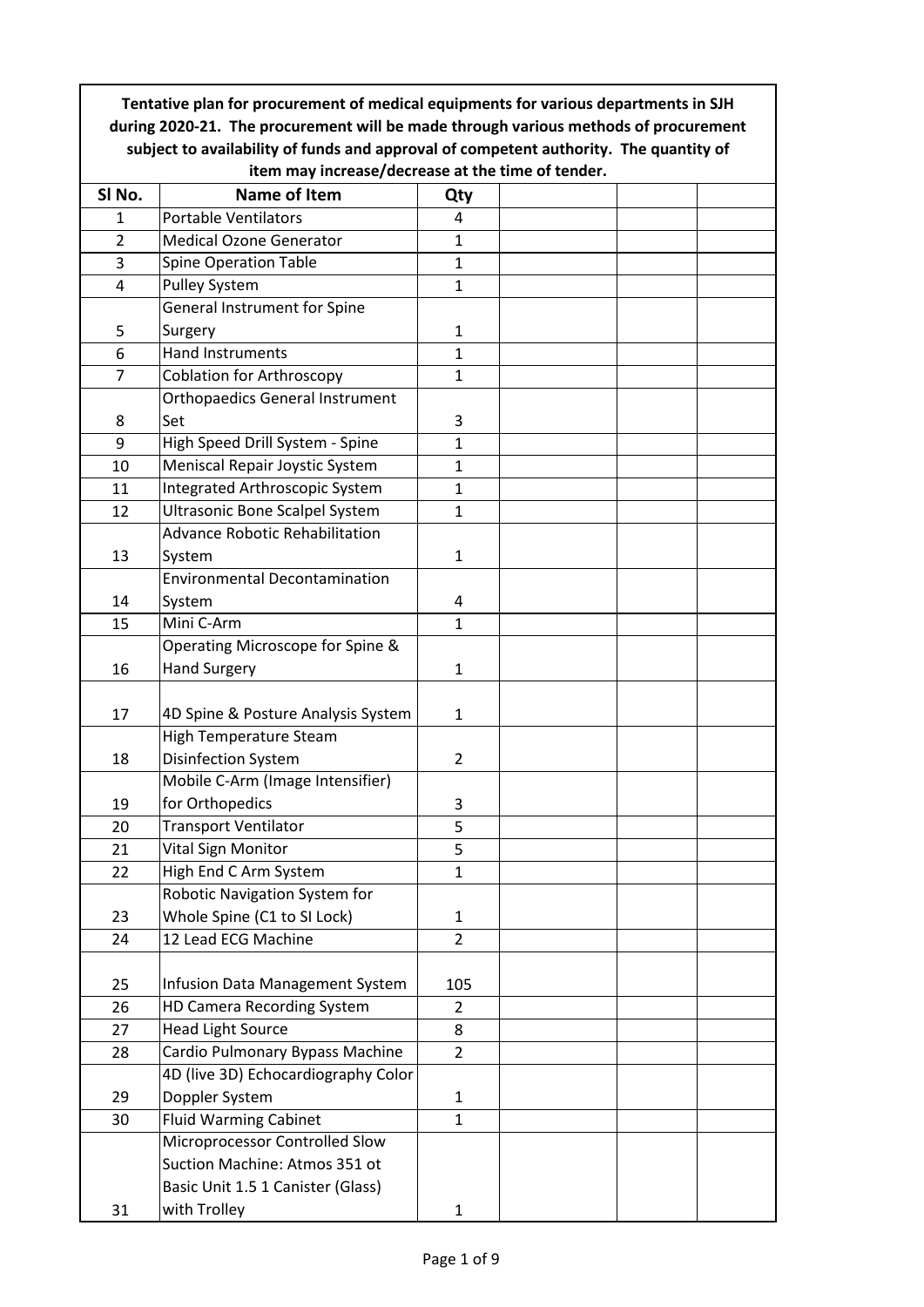| Tentative plan for procurement of medical equipments for various departments in SJH                                                                                          |                                        |                         |  |  |  |  |  |  |
|------------------------------------------------------------------------------------------------------------------------------------------------------------------------------|----------------------------------------|-------------------------|--|--|--|--|--|--|
| during 2020-21. The procurement will be made through various methods of procurement<br>subject to availability of funds and approval of competent authority. The quantity of |                                        |                         |  |  |  |  |  |  |
| item may increase/decrease at the time of tender.                                                                                                                            |                                        |                         |  |  |  |  |  |  |
| SI No.                                                                                                                                                                       | Name of Item                           | Qty                     |  |  |  |  |  |  |
| $\mathbf{1}$                                                                                                                                                                 | <b>Portable Ventilators</b>            | $\overline{4}$          |  |  |  |  |  |  |
| $\overline{2}$                                                                                                                                                               | <b>Medical Ozone Generator</b>         | $\mathbf{1}$            |  |  |  |  |  |  |
| 3                                                                                                                                                                            | <b>Spine Operation Table</b>           | $\mathbf{1}$            |  |  |  |  |  |  |
| 4                                                                                                                                                                            | <b>Pulley System</b>                   | $\mathbf{1}$            |  |  |  |  |  |  |
|                                                                                                                                                                              | General Instrument for Spine           |                         |  |  |  |  |  |  |
| 5                                                                                                                                                                            | Surgery                                | $\mathbf{1}$            |  |  |  |  |  |  |
| 6                                                                                                                                                                            | <b>Hand Instruments</b>                | $\mathbf{1}$            |  |  |  |  |  |  |
| $\overline{7}$                                                                                                                                                               | <b>Coblation for Arthroscopy</b>       | 1                       |  |  |  |  |  |  |
|                                                                                                                                                                              | <b>Orthopaedics General Instrument</b> |                         |  |  |  |  |  |  |
| 8                                                                                                                                                                            | Set                                    | 3                       |  |  |  |  |  |  |
| 9                                                                                                                                                                            | High Speed Drill System - Spine        | $\mathbf{1}$            |  |  |  |  |  |  |
| 10                                                                                                                                                                           | Meniscal Repair Joystic System         | $\mathbf{1}$            |  |  |  |  |  |  |
| 11                                                                                                                                                                           | Integrated Arthroscopic System         | $\mathbf{1}$            |  |  |  |  |  |  |
| 12                                                                                                                                                                           | <b>Ultrasonic Bone Scalpel System</b>  | 1                       |  |  |  |  |  |  |
|                                                                                                                                                                              | Advance Robotic Rehabilitation         |                         |  |  |  |  |  |  |
| 13                                                                                                                                                                           | System                                 | $\mathbf{1}$            |  |  |  |  |  |  |
|                                                                                                                                                                              | <b>Environmental Decontamination</b>   |                         |  |  |  |  |  |  |
| 14                                                                                                                                                                           | System                                 | $\overline{\mathbf{4}}$ |  |  |  |  |  |  |
| 15                                                                                                                                                                           | Mini C-Arm                             | $\mathbf{1}$            |  |  |  |  |  |  |
|                                                                                                                                                                              | Operating Microscope for Spine &       |                         |  |  |  |  |  |  |
| 16                                                                                                                                                                           | <b>Hand Surgery</b>                    | $\mathbf{1}$            |  |  |  |  |  |  |
|                                                                                                                                                                              |                                        |                         |  |  |  |  |  |  |
| 17                                                                                                                                                                           | 4D Spine & Posture Analysis System     | $\mathbf{1}$            |  |  |  |  |  |  |
|                                                                                                                                                                              | <b>High Temperature Steam</b>          |                         |  |  |  |  |  |  |
| 18                                                                                                                                                                           | <b>Disinfection System</b>             | $\overline{2}$          |  |  |  |  |  |  |
|                                                                                                                                                                              | Mobile C-Arm (Image Intensifier)       |                         |  |  |  |  |  |  |
| 19                                                                                                                                                                           | for Orthopedics                        | 3                       |  |  |  |  |  |  |
| 20                                                                                                                                                                           | <b>Transport Ventilator</b>            | 5                       |  |  |  |  |  |  |
| 21                                                                                                                                                                           | Vital Sign Monitor                     | 5                       |  |  |  |  |  |  |
| 22                                                                                                                                                                           | High End C Arm System                  | $\mathbf{1}$            |  |  |  |  |  |  |
|                                                                                                                                                                              | Robotic Navigation System for          |                         |  |  |  |  |  |  |
| 23                                                                                                                                                                           | Whole Spine (C1 to SI Lock)            | $\mathbf{1}$            |  |  |  |  |  |  |
| 24                                                                                                                                                                           | 12 Lead ECG Machine                    | $\overline{2}$          |  |  |  |  |  |  |
|                                                                                                                                                                              |                                        |                         |  |  |  |  |  |  |
| 25                                                                                                                                                                           | Infusion Data Management System        | 105                     |  |  |  |  |  |  |
| 26                                                                                                                                                                           | HD Camera Recording System             | $\overline{2}$          |  |  |  |  |  |  |
| 27                                                                                                                                                                           | <b>Head Light Source</b>               | 8                       |  |  |  |  |  |  |
| 28                                                                                                                                                                           | Cardio Pulmonary Bypass Machine        | $\overline{2}$          |  |  |  |  |  |  |
|                                                                                                                                                                              | 4D (live 3D) Echocardiography Color    |                         |  |  |  |  |  |  |
| 29                                                                                                                                                                           | Doppler System                         | $\mathbf{1}$            |  |  |  |  |  |  |
| 30                                                                                                                                                                           | <b>Fluid Warming Cabinet</b>           | $\mathbf{1}$            |  |  |  |  |  |  |
|                                                                                                                                                                              | Microprocessor Controlled Slow         |                         |  |  |  |  |  |  |
|                                                                                                                                                                              | Suction Machine: Atmos 351 ot          |                         |  |  |  |  |  |  |
|                                                                                                                                                                              | Basic Unit 1.5 1 Canister (Glass)      |                         |  |  |  |  |  |  |
| 31                                                                                                                                                                           | with Trolley                           | $\mathbf{1}$            |  |  |  |  |  |  |

 $\overline{\phantom{a}}$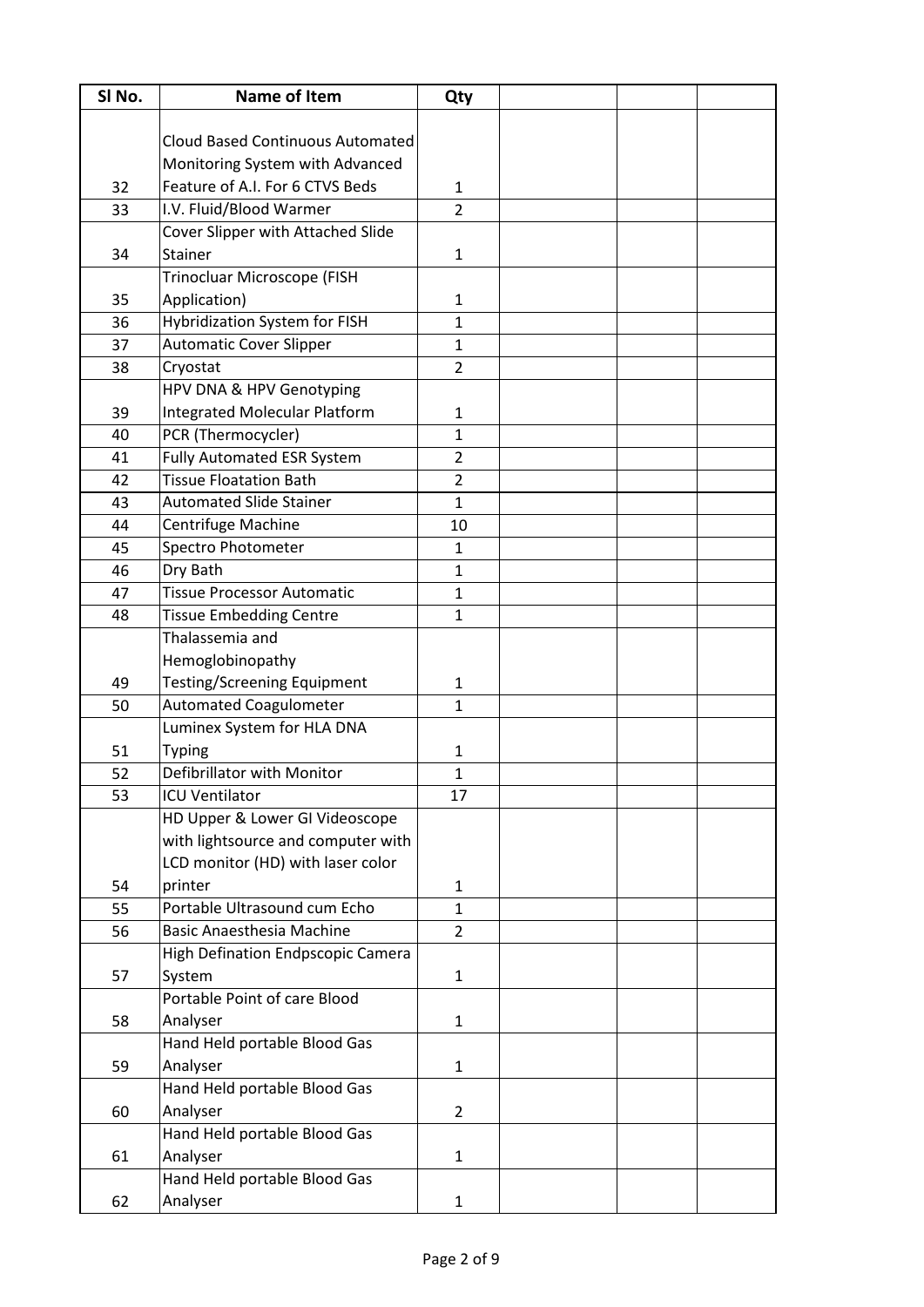| SI No. | <b>Name of Item</b>                     | Qty            |  |  |
|--------|-----------------------------------------|----------------|--|--|
|        |                                         |                |  |  |
|        | <b>Cloud Based Continuous Automated</b> |                |  |  |
|        | Monitoring System with Advanced         |                |  |  |
| 32     | Feature of A.I. For 6 CTVS Beds         | 1              |  |  |
| 33     | I.V. Fluid/Blood Warmer                 | $\overline{2}$ |  |  |
|        | Cover Slipper with Attached Slide       |                |  |  |
| 34     | Stainer                                 | $\mathbf{1}$   |  |  |
|        | Trinocluar Microscope (FISH             |                |  |  |
| 35     | Application)                            | $\mathbf{1}$   |  |  |
| 36     | <b>Hybridization System for FISH</b>    | $\mathbf{1}$   |  |  |
| 37     | <b>Automatic Cover Slipper</b>          | $\mathbf{1}$   |  |  |
| 38     | Cryostat                                | $\overline{2}$ |  |  |
|        | HPV DNA & HPV Genotyping                |                |  |  |
| 39     | Integrated Molecular Platform           | $\mathbf{1}$   |  |  |
| 40     | PCR (Thermocycler)                      | $\mathbf{1}$   |  |  |
| 41     | <b>Fully Automated ESR System</b>       | $\overline{2}$ |  |  |
| 42     | <b>Tissue Floatation Bath</b>           | $\overline{2}$ |  |  |
| 43     | <b>Automated Slide Stainer</b>          | $\mathbf{1}$   |  |  |
| 44     | Centrifuge Machine                      | 10             |  |  |
| 45     | Spectro Photometer                      | $\mathbf{1}$   |  |  |
| 46     | Dry Bath                                | $\mathbf{1}$   |  |  |
| 47     | <b>Tissue Processor Automatic</b>       | $\mathbf{1}$   |  |  |
| 48     | <b>Tissue Embedding Centre</b>          | $\mathbf{1}$   |  |  |
|        | Thalassemia and                         |                |  |  |
|        | Hemoglobinopathy                        |                |  |  |
| 49     | <b>Testing/Screening Equipment</b>      | $\mathbf{1}$   |  |  |
| 50     | <b>Automated Coagulometer</b>           | $\mathbf{1}$   |  |  |
|        | Luminex System for HLA DNA              |                |  |  |
| 51     | <b>Typing</b>                           | 1              |  |  |
| 52     | Defibrillator with Monitor              | 1              |  |  |
| 53     | <b>ICU Ventilator</b>                   | 17             |  |  |
|        | HD Upper & Lower GI Videoscope          |                |  |  |
|        | with lightsource and computer with      |                |  |  |
|        | LCD monitor (HD) with laser color       |                |  |  |
| 54     | printer                                 | $\mathbf{1}$   |  |  |
| 55     | Portable Ultrasound cum Echo            | $\mathbf{1}$   |  |  |
| 56     | <b>Basic Anaesthesia Machine</b>        | $\overline{2}$ |  |  |
|        | High Defination Endpscopic Camera       |                |  |  |
| 57     | System                                  | $\mathbf{1}$   |  |  |
|        | Portable Point of care Blood            |                |  |  |
| 58     | Analyser                                | $\mathbf{1}$   |  |  |
|        | Hand Held portable Blood Gas            |                |  |  |
| 59     | Analyser                                | $\mathbf{1}$   |  |  |
|        | Hand Held portable Blood Gas            |                |  |  |
| 60     | Analyser                                | $\overline{2}$ |  |  |
|        | Hand Held portable Blood Gas            |                |  |  |
| 61     | Analyser                                | $\mathbf{1}$   |  |  |
|        | Hand Held portable Blood Gas            |                |  |  |
| 62     | Analyser                                | $\mathbf{1}$   |  |  |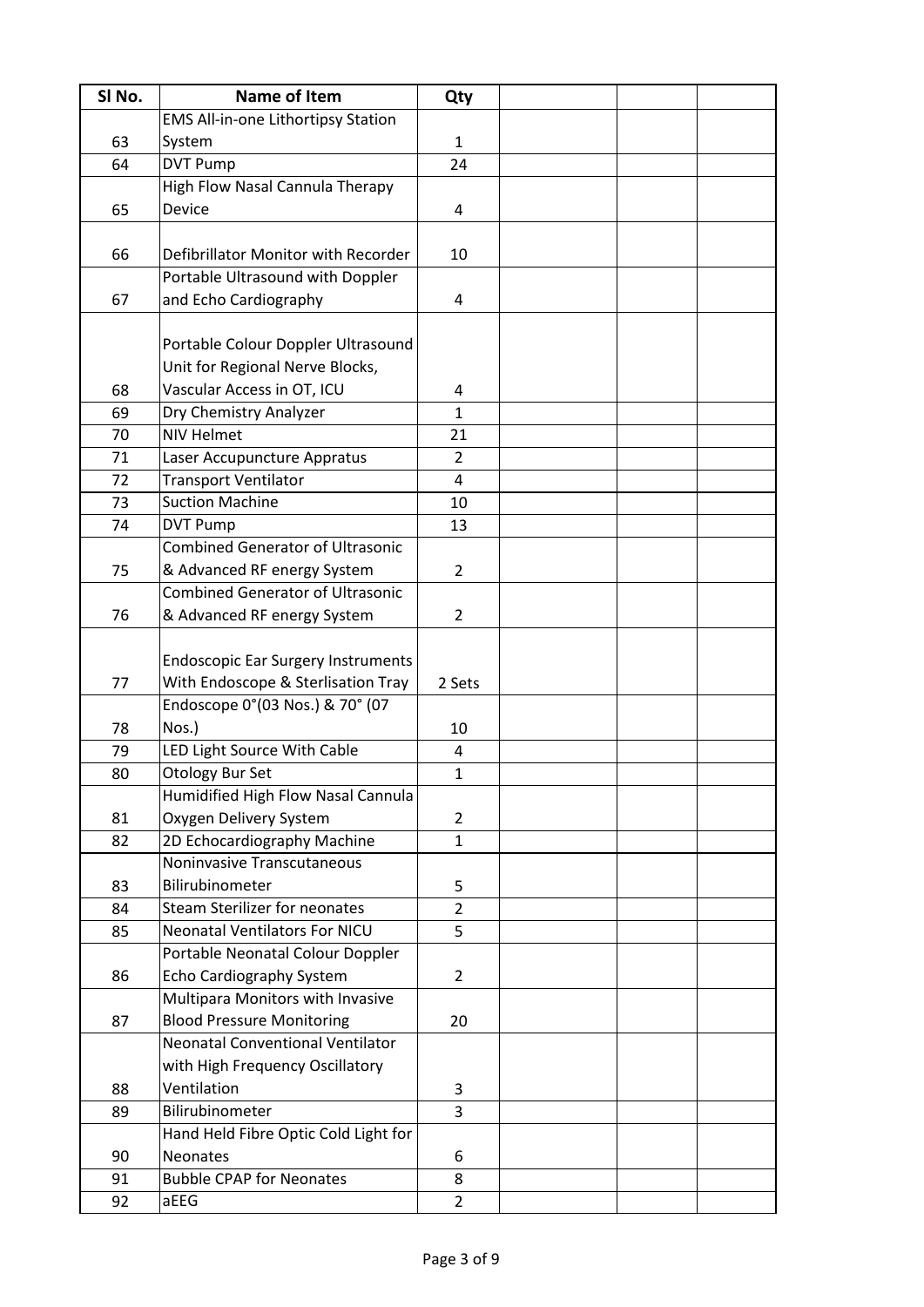| SI No. | <b>Name of Item</b>                       | Qty            |  |  |
|--------|-------------------------------------------|----------------|--|--|
|        | <b>EMS All-in-one Lithortipsy Station</b> |                |  |  |
| 63     | System                                    | $\mathbf{1}$   |  |  |
| 64     | <b>DVT Pump</b>                           | 24             |  |  |
|        | High Flow Nasal Cannula Therapy           |                |  |  |
| 65     | <b>Device</b>                             | 4              |  |  |
|        |                                           |                |  |  |
| 66     | Defibrillator Monitor with Recorder       | 10             |  |  |
|        | Portable Ultrasound with Doppler          |                |  |  |
| 67     | and Echo Cardiography                     | 4              |  |  |
|        |                                           |                |  |  |
|        | Portable Colour Doppler Ultrasound        |                |  |  |
|        | Unit for Regional Nerve Blocks,           |                |  |  |
| 68     | Vascular Access in OT, ICU                | 4              |  |  |
| 69     | Dry Chemistry Analyzer                    | $\mathbf{1}$   |  |  |
| 70     | <b>NIV Helmet</b>                         | 21             |  |  |
| 71     | Laser Accupuncture Appratus               | $\overline{2}$ |  |  |
| 72     | <b>Transport Ventilator</b>               | 4              |  |  |
| 73     | <b>Suction Machine</b>                    | 10             |  |  |
| 74     | <b>DVT Pump</b>                           | 13             |  |  |
|        | <b>Combined Generator of Ultrasonic</b>   |                |  |  |
| 75     | & Advanced RF energy System               | $\overline{2}$ |  |  |
|        | <b>Combined Generator of Ultrasonic</b>   |                |  |  |
| 76     | & Advanced RF energy System               | 2              |  |  |
|        |                                           |                |  |  |
|        | <b>Endoscopic Ear Surgery Instruments</b> |                |  |  |
| 77     | With Endoscope & Sterlisation Tray        | 2 Sets         |  |  |
|        | Endoscope 0°(03 Nos.) & 70° (07           |                |  |  |
| 78     | Nos.)                                     | 10             |  |  |
| 79     | LED Light Source With Cable               | 4              |  |  |
| 80     | <b>Otology Bur Set</b>                    | $\mathbf 1$    |  |  |
|        | Humidified High Flow Nasal Cannula        |                |  |  |
| 81     | Oxygen Delivery System                    | 2              |  |  |
| 82     | 2D Echocardiography Machine               | $\overline{1}$ |  |  |
|        | Noninvasive Transcutaneous                |                |  |  |
| 83     | Bilirubinometer                           | 5              |  |  |
| 84     | <b>Steam Sterilizer for neonates</b>      | $\overline{2}$ |  |  |
| 85     | <b>Neonatal Ventilators For NICU</b>      | 5              |  |  |
|        | Portable Neonatal Colour Doppler          |                |  |  |
| 86     | Echo Cardiography System                  | $\overline{2}$ |  |  |
|        | Multipara Monitors with Invasive          |                |  |  |
| 87     | <b>Blood Pressure Monitoring</b>          | 20             |  |  |
|        | <b>Neonatal Conventional Ventilator</b>   |                |  |  |
|        | with High Frequency Oscillatory           |                |  |  |
| 88     | Ventilation                               | 3              |  |  |
| 89     | Bilirubinometer                           | 3              |  |  |
|        | Hand Held Fibre Optic Cold Light for      |                |  |  |
| 90     | <b>Neonates</b>                           | 6              |  |  |
| 91     | <b>Bubble CPAP for Neonates</b>           | 8              |  |  |
| 92     | aEEG                                      | $\overline{2}$ |  |  |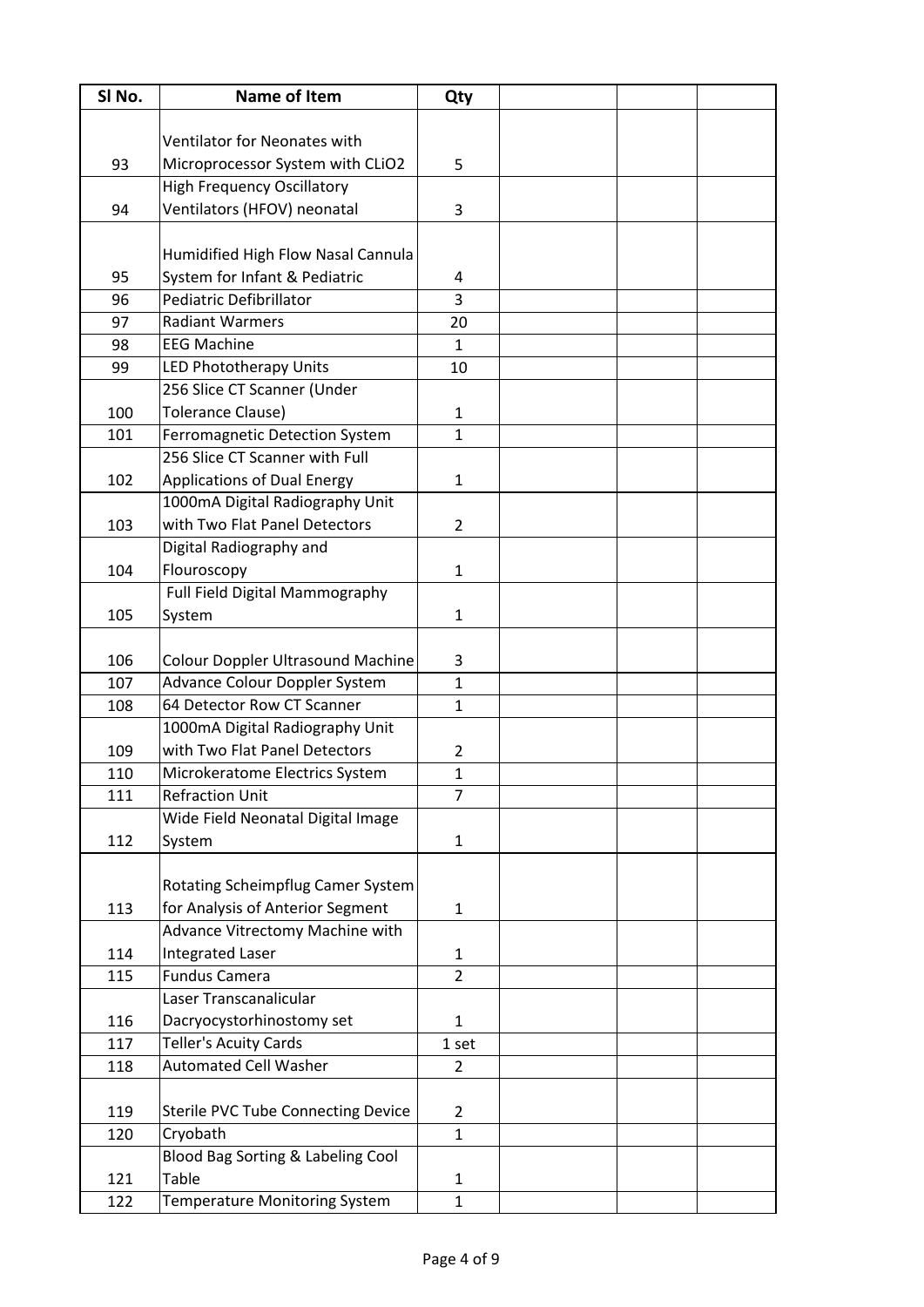| SI No. | <b>Name of Item</b>                       | Qty            |  |  |
|--------|-------------------------------------------|----------------|--|--|
|        |                                           |                |  |  |
|        | Ventilator for Neonates with              |                |  |  |
| 93     | Microprocessor System with CLiO2          | 5              |  |  |
|        | <b>High Frequency Oscillatory</b>         |                |  |  |
| 94     | Ventilators (HFOV) neonatal               | 3              |  |  |
|        |                                           |                |  |  |
|        | Humidified High Flow Nasal Cannula        |                |  |  |
| 95     | System for Infant & Pediatric             | 4              |  |  |
| 96     | <b>Pediatric Defibrillator</b>            | 3              |  |  |
| 97     | <b>Radiant Warmers</b>                    | 20             |  |  |
| 98     | <b>EEG Machine</b>                        | 1              |  |  |
| 99     | LED Phototherapy Units                    | 10             |  |  |
|        | 256 Slice CT Scanner (Under               |                |  |  |
| 100    | <b>Tolerance Clause)</b>                  | $\mathbf{1}$   |  |  |
| 101    | Ferromagnetic Detection System            | $\mathbf{1}$   |  |  |
|        | 256 Slice CT Scanner with Full            |                |  |  |
| 102    | <b>Applications of Dual Energy</b>        | $\mathbf{1}$   |  |  |
|        | 1000mA Digital Radiography Unit           |                |  |  |
| 103    | with Two Flat Panel Detectors             | $\overline{2}$ |  |  |
|        | Digital Radiography and                   |                |  |  |
| 104    | Flouroscopy                               | $\mathbf{1}$   |  |  |
|        | Full Field Digital Mammography            |                |  |  |
| 105    | System                                    | $\mathbf{1}$   |  |  |
|        |                                           |                |  |  |
| 106    | <b>Colour Doppler Ultrasound Machine</b>  | 3              |  |  |
| 107    | Advance Colour Doppler System             | $\mathbf{1}$   |  |  |
| 108    | 64 Detector Row CT Scanner                | $\mathbf{1}$   |  |  |
|        | 1000mA Digital Radiography Unit           |                |  |  |
| 109    | with Two Flat Panel Detectors             | 2              |  |  |
| 110    | Microkeratome Electrics System            | 1              |  |  |
| 111    | <b>Refraction Unit</b>                    | $\overline{7}$ |  |  |
|        | Wide Field Neonatal Digital Image         |                |  |  |
| 112    | System                                    | $\mathbf{1}$   |  |  |
|        |                                           |                |  |  |
|        | Rotating Scheimpflug Camer System         |                |  |  |
| 113    | for Analysis of Anterior Segment          | $\mathbf{1}$   |  |  |
|        | Advance Vitrectomy Machine with           |                |  |  |
| 114    | <b>Integrated Laser</b>                   | $\mathbf{1}$   |  |  |
| 115    | <b>Fundus Camera</b>                      | $\overline{2}$ |  |  |
|        | Laser Transcanalicular                    |                |  |  |
| 116    | Dacryocystorhinostomy set                 | $\mathbf{1}$   |  |  |
| 117    | <b>Teller's Acuity Cards</b>              | 1 set          |  |  |
| 118    | <b>Automated Cell Washer</b>              | $\overline{2}$ |  |  |
|        |                                           |                |  |  |
| 119    | <b>Sterile PVC Tube Connecting Device</b> | $\overline{2}$ |  |  |
| 120    | Cryobath                                  | $\mathbf{1}$   |  |  |
|        | Blood Bag Sorting & Labeling Cool         |                |  |  |
| 121    | Table                                     | $\mathbf{1}$   |  |  |
| 122    | <b>Temperature Monitoring System</b>      | $\mathbf{1}$   |  |  |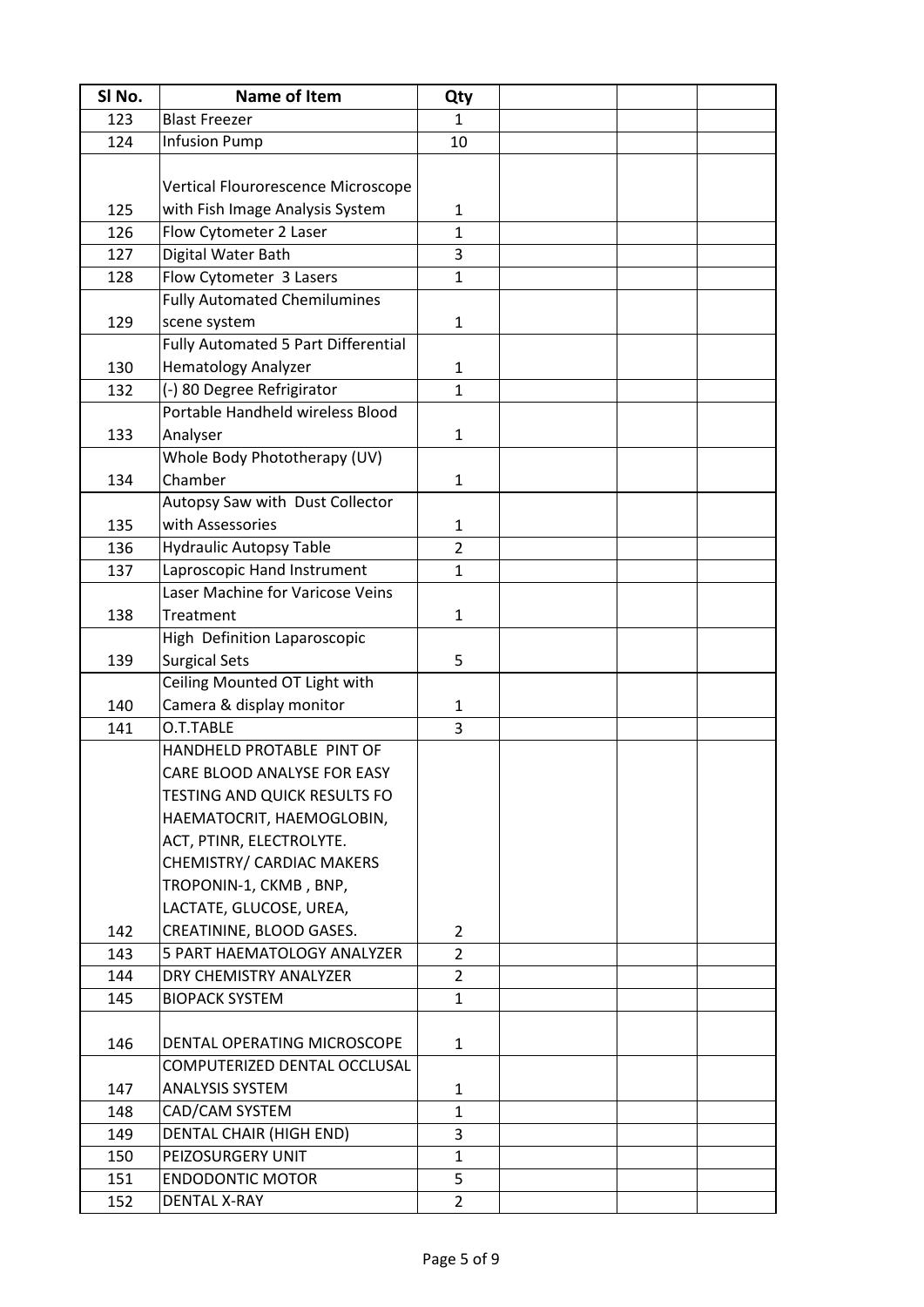| SI No.     | <b>Name of Item</b>                                         | Qty            |  |  |
|------------|-------------------------------------------------------------|----------------|--|--|
| 123        | <b>Blast Freezer</b>                                        | 1              |  |  |
| 124        | <b>Infusion Pump</b>                                        | 10             |  |  |
|            |                                                             |                |  |  |
|            | Vertical Flourorescence Microscope                          |                |  |  |
| 125        | with Fish Image Analysis System                             | 1              |  |  |
| 126        | Flow Cytometer 2 Laser                                      | $\mathbf{1}$   |  |  |
| 127        | Digital Water Bath                                          | 3              |  |  |
| 128        | Flow Cytometer 3 Lasers                                     | $\mathbf{1}$   |  |  |
|            | <b>Fully Automated Chemilumines</b>                         |                |  |  |
| 129        | scene system                                                | $\mathbf{1}$   |  |  |
|            | <b>Fully Automated 5 Part Differential</b>                  |                |  |  |
| 130        | <b>Hematology Analyzer</b>                                  | 1              |  |  |
| 132        | (-) 80 Degree Refrigirator                                  | $\mathbf{1}$   |  |  |
|            | Portable Handheld wireless Blood                            |                |  |  |
| 133        | Analyser                                                    | $\mathbf{1}$   |  |  |
|            | Whole Body Phototherapy (UV)                                |                |  |  |
| 134        | Chamber                                                     | $\mathbf{1}$   |  |  |
|            | Autopsy Saw with Dust Collector                             |                |  |  |
| 135        | with Assessories                                            | 1              |  |  |
| 136        | <b>Hydraulic Autopsy Table</b>                              | $\overline{2}$ |  |  |
| 137        | Laproscopic Hand Instrument                                 | $\mathbf{1}$   |  |  |
|            | Laser Machine for Varicose Veins                            |                |  |  |
| 138        | Treatment                                                   | 1              |  |  |
|            | High Definition Laparoscopic                                |                |  |  |
| 139        | <b>Surgical Sets</b>                                        | 5              |  |  |
|            | Ceiling Mounted OT Light with                               |                |  |  |
| 140        | Camera & display monitor                                    | 1              |  |  |
| 141        | O.T.TABLE                                                   | 3              |  |  |
|            | HANDHELD PROTABLE PINT OF                                   |                |  |  |
|            | CARE BLOOD ANALYSE FOR EASY                                 |                |  |  |
|            | <b>TESTING AND QUICK RESULTS FO</b>                         |                |  |  |
|            | HAEMATOCRIT, HAEMOGLOBIN,                                   |                |  |  |
|            | ACT, PTINR, ELECTROLYTE.                                    |                |  |  |
|            | CHEMISTRY/ CARDIAC MAKERS                                   |                |  |  |
|            | TROPONIN-1, CKMB, BNP,                                      |                |  |  |
|            | LACTATE, GLUCOSE, UREA,                                     |                |  |  |
| 142        | CREATININE, BLOOD GASES.                                    | $\overline{2}$ |  |  |
| 143        | 5 PART HAEMATOLOGY ANALYZER                                 | $\overline{2}$ |  |  |
| 144        | DRY CHEMISTRY ANALYZER                                      | $\overline{2}$ |  |  |
| 145        | <b>BIOPACK SYSTEM</b>                                       | 1              |  |  |
|            |                                                             |                |  |  |
| 146        | DENTAL OPERATING MICROSCOPE<br>COMPUTERIZED DENTAL OCCLUSAL | $\mathbf{1}$   |  |  |
| 147        | <b>ANALYSIS SYSTEM</b>                                      | $\mathbf{1}$   |  |  |
| 148        | CAD/CAM SYSTEM                                              | $\mathbf{1}$   |  |  |
|            | DENTAL CHAIR (HIGH END)                                     | 3              |  |  |
| 149<br>150 | PEIZOSURGERY UNIT                                           | 1              |  |  |
| 151        | <b>ENDODONTIC MOTOR</b>                                     | 5              |  |  |
| 152        | <b>DENTAL X-RAY</b>                                         | $\overline{2}$ |  |  |
|            |                                                             |                |  |  |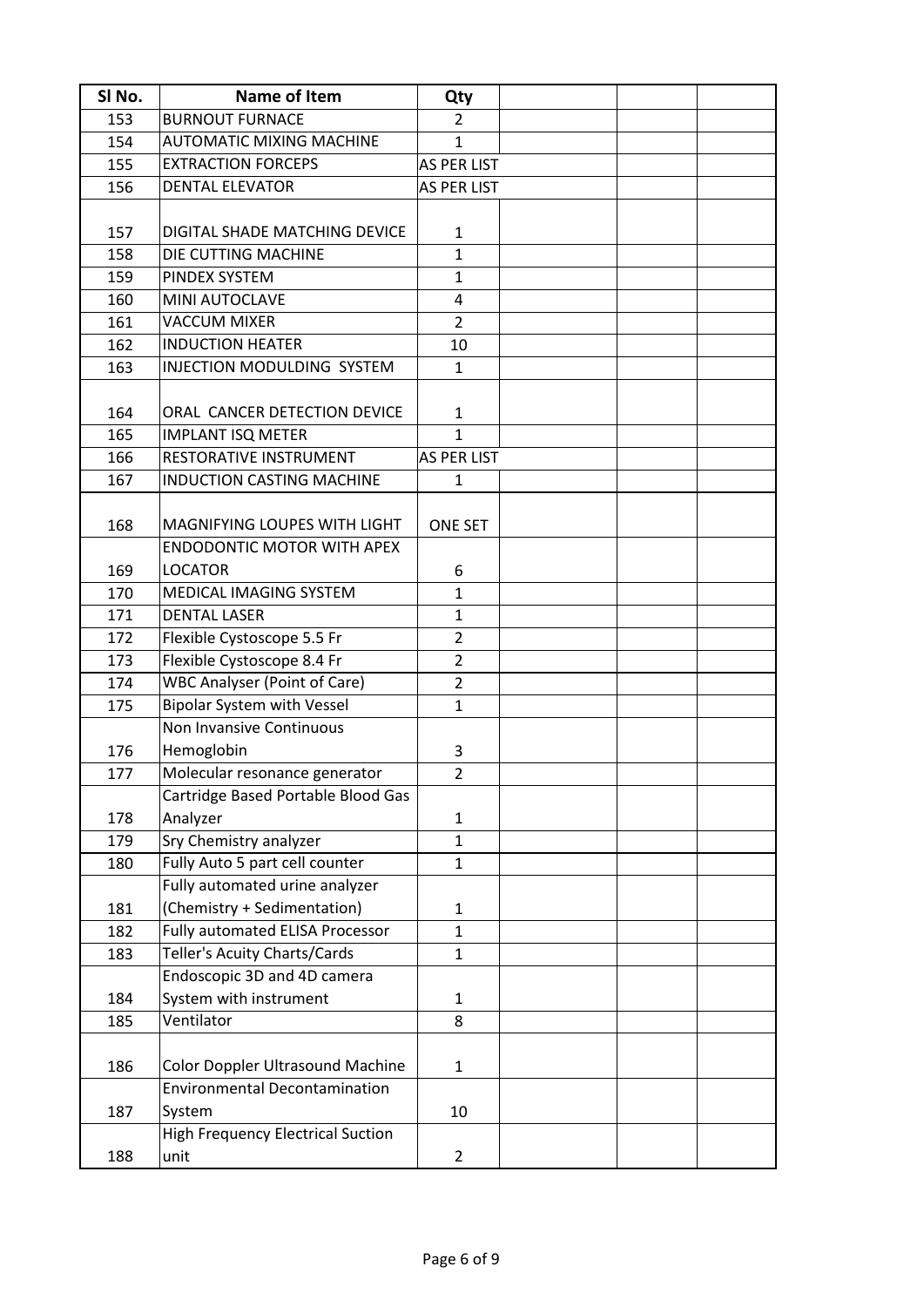| SI No. | Name of Item                             | Qty                |  |  |
|--------|------------------------------------------|--------------------|--|--|
| 153    | <b>BURNOUT FURNACE</b>                   | $\overline{2}$     |  |  |
| 154    | <b>AUTOMATIC MIXING MACHINE</b>          | 1                  |  |  |
| 155    | <b>EXTRACTION FORCEPS</b>                | AS PER LIST        |  |  |
| 156    | <b>DENTAL ELEVATOR</b>                   | <b>AS PER LIST</b> |  |  |
|        |                                          |                    |  |  |
| 157    | DIGITAL SHADE MATCHING DEVICE            | $\mathbf{1}$       |  |  |
| 158    | DIE CUTTING MACHINE                      | $\mathbf{1}$       |  |  |
| 159    | PINDEX SYSTEM                            | $\mathbf{1}$       |  |  |
| 160    | MINI AUTOCLAVE                           | 4                  |  |  |
| 161    | <b>VACCUM MIXER</b>                      | $\overline{2}$     |  |  |
| 162    | <b>INDUCTION HEATER</b>                  | 10                 |  |  |
| 163    | INJECTION MODULDING SYSTEM               | $\mathbf{1}$       |  |  |
|        |                                          |                    |  |  |
| 164    | ORAL CANCER DETECTION DEVICE             | 1                  |  |  |
| 165    | <b>IMPLANT ISQ METER</b>                 | $\mathbf{1}$       |  |  |
| 166    | RESTORATIVE INSTRUMENT                   | <b>AS PER LIST</b> |  |  |
| 167    | <b>INDUCTION CASTING MACHINE</b>         | 1                  |  |  |
|        |                                          |                    |  |  |
| 168    | MAGNIFYING LOUPES WITH LIGHT             | <b>ONE SET</b>     |  |  |
|        | <b>ENDODONTIC MOTOR WITH APEX</b>        |                    |  |  |
| 169    | <b>LOCATOR</b>                           | 6                  |  |  |
| 170    | MEDICAL IMAGING SYSTEM                   | $\mathbf{1}$       |  |  |
| 171    | <b>DENTAL LASER</b>                      | $\mathbf{1}$       |  |  |
| 172    | Flexible Cystoscope 5.5 Fr               | $\overline{2}$     |  |  |
| 173    | Flexible Cystoscope 8.4 Fr               | $\overline{2}$     |  |  |
| 174    | <b>WBC Analyser (Point of Care)</b>      | $\overline{2}$     |  |  |
| 175    | <b>Bipolar System with Vessel</b>        | $\mathbf{1}$       |  |  |
|        | Non Invansive Continuous                 |                    |  |  |
| 176    | Hemoglobin                               | 3                  |  |  |
| 177    | Molecular resonance generator            | $\overline{2}$     |  |  |
|        | Cartridge Based Portable Blood Gas       |                    |  |  |
| 178    | Analyzer                                 | $\mathbf{1}$       |  |  |
| 179    | Sry Chemistry analyzer                   | 1                  |  |  |
| 180    | Fully Auto 5 part cell counter           | 1                  |  |  |
|        | Fully automated urine analyzer           |                    |  |  |
| 181    | (Chemistry + Sedimentation)              | 1                  |  |  |
| 182    | Fully automated ELISA Processor          | $\mathbf{1}$       |  |  |
| 183    | Teller's Acuity Charts/Cards             | $\mathbf{1}$       |  |  |
|        | Endoscopic 3D and 4D camera              |                    |  |  |
| 184    | System with instrument                   | 1                  |  |  |
| 185    | Ventilator                               | 8                  |  |  |
|        |                                          |                    |  |  |
| 186    | <b>Color Doppler Ultrasound Machine</b>  | $\mathbf{1}$       |  |  |
|        | <b>Environmental Decontamination</b>     |                    |  |  |
| 187    | System                                   | 10                 |  |  |
|        | <b>High Frequency Electrical Suction</b> |                    |  |  |
| 188    | unit                                     | $\overline{2}$     |  |  |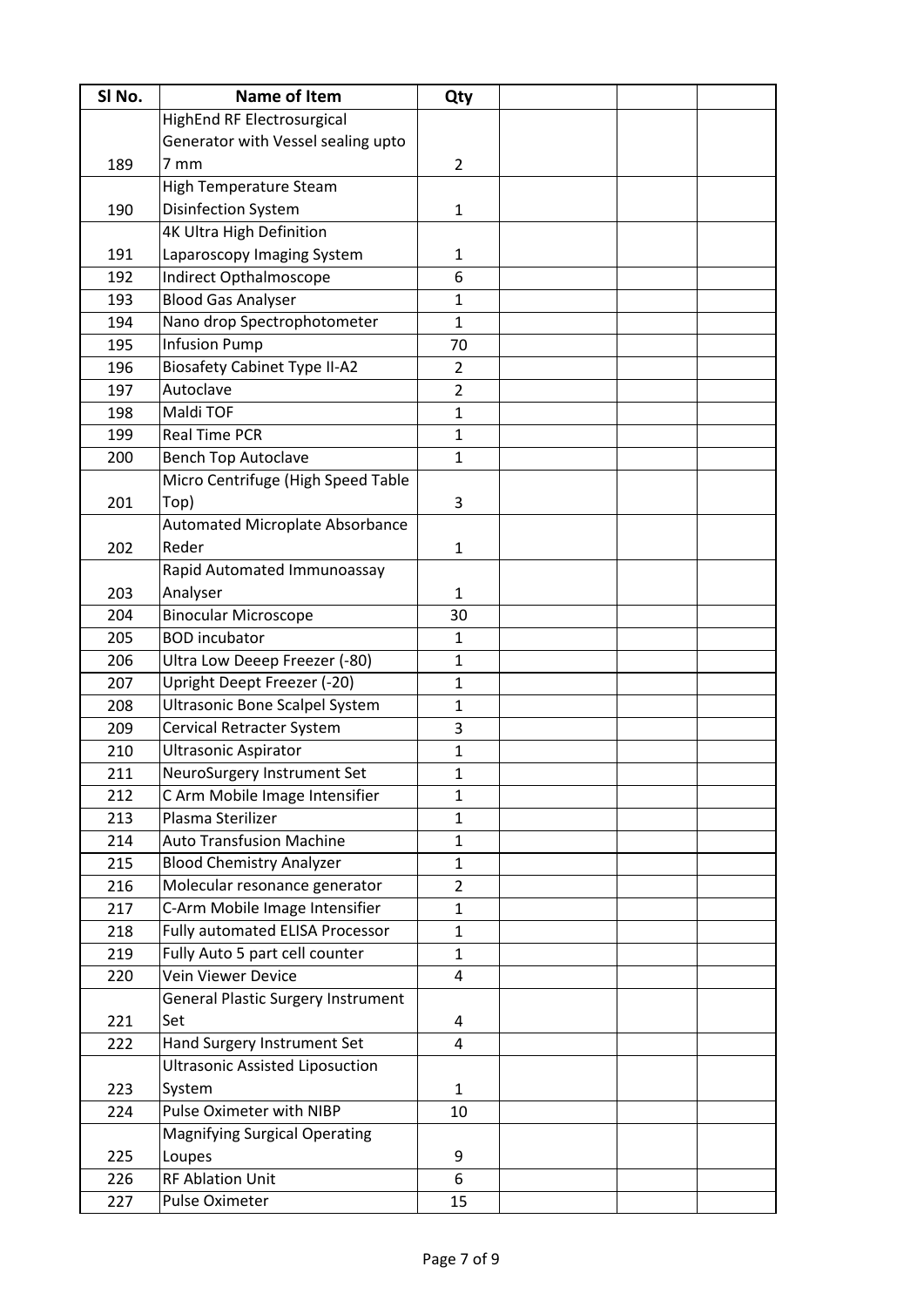| SI No. | <b>Name of Item</b>                       | Qty            |  |  |
|--------|-------------------------------------------|----------------|--|--|
|        | <b>HighEnd RF Electrosurgical</b>         |                |  |  |
|        | Generator with Vessel sealing upto        |                |  |  |
| 189    | $7 \text{ mm}$                            | $\overline{2}$ |  |  |
|        | <b>High Temperature Steam</b>             |                |  |  |
| 190    | <b>Disinfection System</b>                | $\mathbf{1}$   |  |  |
|        | <b>4K Ultra High Definition</b>           |                |  |  |
| 191    | Laparoscopy Imaging System                | 1              |  |  |
| 192    | Indirect Opthalmoscope                    | 6              |  |  |
| 193    | <b>Blood Gas Analyser</b>                 | $\mathbf{1}$   |  |  |
| 194    | Nano drop Spectrophotometer               | $\mathbf{1}$   |  |  |
| 195    | <b>Infusion Pump</b>                      | 70             |  |  |
| 196    | <b>Biosafety Cabinet Type II-A2</b>       | $\overline{2}$ |  |  |
| 197    | Autoclave                                 | $\overline{2}$ |  |  |
| 198    | Maldi TOF                                 | $\mathbf{1}$   |  |  |
| 199    | <b>Real Time PCR</b>                      | $\mathbf{1}$   |  |  |
| 200    | <b>Bench Top Autoclave</b>                | $\mathbf{1}$   |  |  |
|        | Micro Centrifuge (High Speed Table        |                |  |  |
| 201    | Top)                                      | 3              |  |  |
|        | Automated Microplate Absorbance           |                |  |  |
| 202    | Reder                                     | $\mathbf{1}$   |  |  |
|        | Rapid Automated Immunoassay               |                |  |  |
| 203    | Analyser                                  | $\mathbf{1}$   |  |  |
| 204    | <b>Binocular Microscope</b>               | 30             |  |  |
| 205    | <b>BOD</b> incubator                      | $\mathbf{1}$   |  |  |
| 206    | Ultra Low Deeep Freezer (-80)             | $\mathbf{1}$   |  |  |
| 207    | Upright Deept Freezer (-20)               | $\mathbf{1}$   |  |  |
| 208    | <b>Ultrasonic Bone Scalpel System</b>     | $\mathbf{1}$   |  |  |
| 209    | <b>Cervical Retracter System</b>          | 3              |  |  |
| 210    | <b>Ultrasonic Aspirator</b>               | $\mathbf{1}$   |  |  |
| 211    | NeuroSurgery Instrument Set               | $\mathbf{1}$   |  |  |
| 212    | C Arm Mobile Image Intensifier            | $\mathbf{1}$   |  |  |
| 213    | Plasma Sterilizer                         | $\mathbf{1}$   |  |  |
| 214    | <b>Auto Transfusion Machine</b>           | $\mathbf{1}$   |  |  |
| 215    | <b>Blood Chemistry Analyzer</b>           | $\mathbf{1}$   |  |  |
| 216    | Molecular resonance generator             | $\overline{2}$ |  |  |
| 217    | C-Arm Mobile Image Intensifier            | $\mathbf{1}$   |  |  |
| 218    | Fully automated ELISA Processor           | $\mathbf{1}$   |  |  |
| 219    | Fully Auto 5 part cell counter            | $\mathbf{1}$   |  |  |
| 220    | <b>Vein Viewer Device</b>                 | 4              |  |  |
|        | <b>General Plastic Surgery Instrument</b> |                |  |  |
| 221    | Set                                       | 4              |  |  |
| 222    | Hand Surgery Instrument Set               | 4              |  |  |
|        | <b>Ultrasonic Assisted Liposuction</b>    |                |  |  |
| 223    | System                                    | $\mathbf{1}$   |  |  |
| 224    | Pulse Oximeter with NIBP                  | 10             |  |  |
|        | <b>Magnifying Surgical Operating</b>      |                |  |  |
| 225    | Loupes                                    | 9              |  |  |
| 226    | <b>RF Ablation Unit</b>                   | 6              |  |  |
| 227    | Pulse Oximeter                            | 15             |  |  |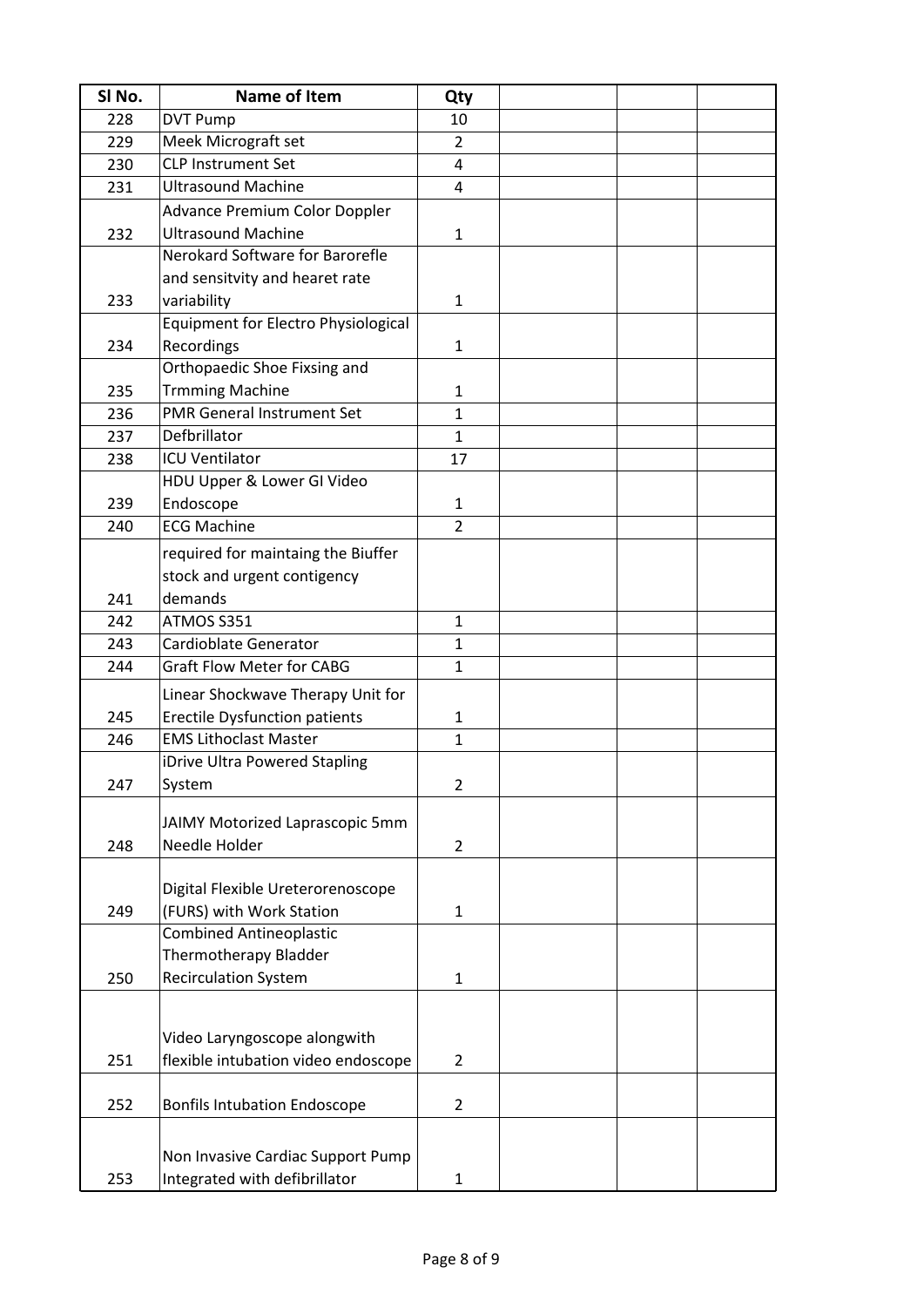| SI No. | <b>Name of Item</b>                  | Qty            |  |  |
|--------|--------------------------------------|----------------|--|--|
| 228    | <b>DVT Pump</b>                      | 10             |  |  |
| 229    | Meek Micrograft set                  | $\overline{2}$ |  |  |
| 230    | <b>CLP Instrument Set</b>            | 4              |  |  |
| 231    | <b>Ultrasound Machine</b>            | $\overline{4}$ |  |  |
|        | <b>Advance Premium Color Doppler</b> |                |  |  |
| 232    | <b>Ultrasound Machine</b>            | $\mathbf{1}$   |  |  |
|        | Nerokard Software for Barorefle      |                |  |  |
|        | and sensitvity and hearet rate       |                |  |  |
|        |                                      |                |  |  |
| 233    | variability                          | $\mathbf{1}$   |  |  |
|        | Equipment for Electro Physiological  |                |  |  |
| 234    | Recordings                           | $\mathbf{1}$   |  |  |
|        | Orthopaedic Shoe Fixsing and         |                |  |  |
| 235    | <b>Trmming Machine</b>               | $\mathbf{1}$   |  |  |
| 236    | <b>PMR General Instrument Set</b>    | $\mathbf{1}$   |  |  |
| 237    | Defbrillator                         | $\mathbf{1}$   |  |  |
| 238    | <b>ICU Ventilator</b>                | 17             |  |  |
|        | HDU Upper & Lower GI Video           |                |  |  |
| 239    | Endoscope                            | 1              |  |  |
| 240    | <b>ECG Machine</b>                   | $\overline{2}$ |  |  |
|        | required for maintaing the Biuffer   |                |  |  |
|        | stock and urgent contigency          |                |  |  |
| 241    | demands                              |                |  |  |
| 242    | ATMOS S351                           | $\mathbf{1}$   |  |  |
| 243    | Cardioblate Generator                | $\mathbf{1}$   |  |  |
| 244    | <b>Graft Flow Meter for CABG</b>     | $\mathbf{1}$   |  |  |
|        |                                      |                |  |  |
|        | Linear Shockwave Therapy Unit for    |                |  |  |
| 245    | <b>Erectile Dysfunction patients</b> | 1              |  |  |
| 246    | <b>EMS Lithoclast Master</b>         | $\mathbf{1}$   |  |  |
|        | iDrive Ultra Powered Stapling        |                |  |  |
| 247    | System                               | $\overline{2}$ |  |  |
|        | JAIMY Motorized Laprascopic 5mm      |                |  |  |
| 248    | Needle Holder                        | $\overline{2}$ |  |  |
|        |                                      |                |  |  |
|        | Digital Flexible Ureterorenoscope    |                |  |  |
| 249    | (FURS) with Work Station             | $\mathbf{1}$   |  |  |
|        | <b>Combined Antineoplastic</b>       |                |  |  |
|        | Thermotherapy Bladder                |                |  |  |
| 250    | <b>Recirculation System</b>          | $\mathbf{1}$   |  |  |
|        |                                      |                |  |  |
|        |                                      |                |  |  |
|        | Video Laryngoscope alongwith         |                |  |  |
| 251    | flexible intubation video endoscope  | $\overline{2}$ |  |  |
|        |                                      |                |  |  |
| 252    | <b>Bonfils Intubation Endoscope</b>  | $\overline{2}$ |  |  |
|        |                                      |                |  |  |
|        |                                      |                |  |  |
|        | Non Invasive Cardiac Support Pump    |                |  |  |
| 253    | Integrated with defibrillator        | 1              |  |  |